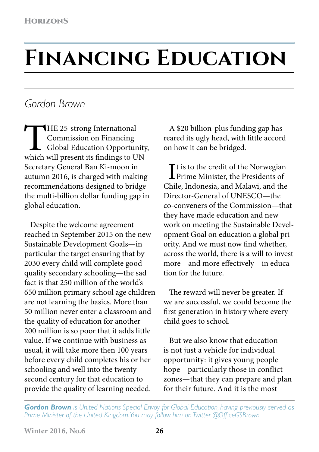## **Financing Education**

## *Gordon Brown*

THE 25-strong International<br>
Commission on Financing<br>
Global Education Opportunity<br>
which will present its findings to UN Commission on Financing Global Education Opportunity, Secretary General Ban Ki-moon in autumn 2016, is charged with making recommendations designed to bridge the multi-billion dollar funding gap in global education.

Despite the welcome agreement reached in September 2015 on the new Sustainable Development Goals—in particular the target ensuring that by 2030 every child will complete good quality secondary schooling—the sad fact is that 250 million of the world's 650 million primary school age children are not learning the basics. More than 50 million never enter a classroom and the quality of education for another 200 million is so poor that it adds little value. If we continue with business as usual, it will take more then 100 years before every child completes his or her schooling and well into the twentysecond century for that education to provide the quality of learning needed.

A \$20 billion-plus funding gap has reared its ugly head, with little accord on how it can be bridged.

It is to the credit of the Norwegian<br>Prime Minister, the Presidents of **L** Prime Minister, the Presidents of Chile, Indonesia, and Malawi, and the Director-General of UNESCO—the co-conveners of the Commission—that they have made education and new work on meeting the Sustainable Development Goal on education a global priority. And we must now find whether, across the world, there is a will to invest more—and more effectively—in education for the future.

The reward will never be greater. If we are successful, we could become the first generation in history where every child goes to school.

But we also know that education is not just a vehicle for individual opportunity: it gives young people hope—particularly those in conflict zones—that they can prepare and plan for their future. And it is the most

*Gordon Brown is United Nations Special Envoy for Global Education, having previously served as Prime Minister of the United Kingdom. You may follow him on Twitter @OfficeGSBrown.*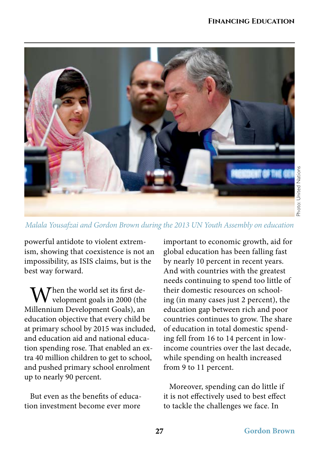

*Malala Yousafzai and Gordon Brown during the 2013 UN Youth Assembly on education*

powerful antidote to violent extremism, showing that coexistence is not an impossibility, as ISIS claims, but is the best way forward.

Then the world set its first development goals in 2000 (the Millennium Development Goals), an education objective that every child be at primary school by 2015 was included, and education aid and national education spending rose. That enabled an extra 40 million children to get to school, and pushed primary school enrolment up to nearly 90 percent.

But even as the benefits of education investment become ever more

important to economic growth, aid for global education has been falling fast by nearly 10 percent in recent years. And with countries with the greatest needs continuing to spend too little of their domestic resources on schooling (in many cases just 2 percent), the education gap between rich and poor countries continues to grow. The share of education in total domestic spending fell from 16 to 14 percent in lowincome countries over the last decade, while spending on health increased from 9 to 11 percent.

Moreover, spending can do little if it is not effectively used to best effect to tackle the challenges we face. In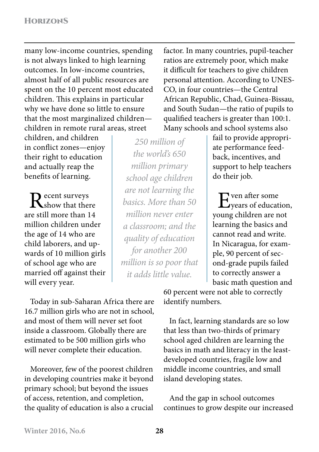many low-income countries, spending is not always linked to high learning outcomes. In low-income countries, almost half of all public resources are spent on the 10 percent most educated children. This explains in particular why we have done so little to ensure that the most marginalized children children in remote rural areas, street

children, and children in conflict zones—enjoy their right to education and actually reap the benefits of learning.

 $\bf{D}$  ecent surveys  $\mathbf{\mathbf{\Lambda}}$ show that there are still more than 14 million children under the age of 14 who are child laborers, and upwards of 10 million girls of school age who are married off against their will every year.

*250 million of the world's 650 million primary school age children are not learning the basics. More than 50 million never enter a classroom; and the quality of education for another 200 million is so poor that it adds little value.*

factor. In many countries, pupil-teacher ratios are extremely poor, which make it difficult for teachers to give children personal attention. According to UNES-CO, in four countries—the Central African Republic, Chad, Guinea-Bissau, and South Sudan—the ratio of pupils to qualified teachers is greater than 100:1. Many schools and school systems also

fail to provide appropriate performance feedback, incentives, and support to help teachers do their job.

Even after some<br>Eyears of education, young children are not learning the basics and cannot read and write. In Nicaragua, for example, 90 percent of second-grade pupils failed to correctly answer a basic math question and

Today in sub-Saharan Africa there are 16.7 million girls who are not in school, and most of them will never set foot inside a classroom. Globally there are estimated to be 500 million girls who will never complete their education.

Moreover, few of the poorest children in developing countries make it beyond primary school; but beyond the issues of access, retention, and completion, the quality of education is also a crucial 60 percent were not able to correctly identify numbers.

In fact, learning standards are so low that less than two-thirds of primary school aged children are learning the basics in math and literacy in the leastdeveloped countries, fragile low and middle income countries, and small island developing states.

And the gap in school outcomes continues to grow despite our increased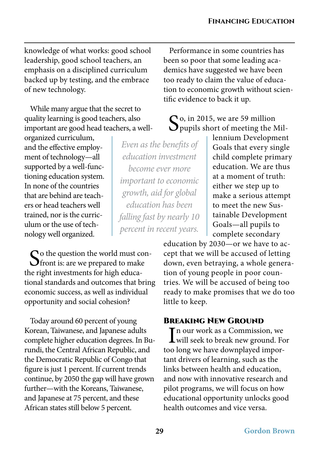knowledge of what works: good school leadership, good school teachers, an emphasis on a disciplined curriculum backed up by testing, and the embrace of new technology.

While many argue that the secret to quality learning is good teachers, also important are good head teachers, a well-

organized curriculum, and the effective employment of technology—all supported by a well-functioning education system. In none of the countries that are behind are teachers or head teachers well trained, nor is the curriculum or the use of technology well organized.

 $\bigcap$  o the question the world must con-**O** front is: are we prepared to make the right investments for high educational standards and outcomes that bring economic success, as well as individual opportunity and social cohesion?

Today around 60 percent of young Korean, Taiwanese, and Japanese adults complete higher education degrees. In Burundi, the Central African Republic, and the Democratic Republic of Congo that figure is just 1 percent. If current trends continue, by 2050 the gap will have grown further—with the Koreans, Taiwanese, and Japanese at 75 percent, and these African states still below 5 percent.

Performance in some countries has been so poor that some leading academics have suggested we have been too ready to claim the value of education to economic growth without scientific evidence to back it up.

So, in 2015, we are 59 million<br>Spupils short of meeting the Mil-

*Even as the benefits of education investment become ever more important to economic growth, aid for global education has been falling fast by nearly 10 percent in recent years.* 

lennium Development Goals that every single child complete primary education. We are thus at a moment of truth: either we step up to make a serious attempt to meet the new Sustainable Development Goals—all pupils to complete secondary

education by 2030—or we have to accept that we will be accused of letting down, even betraying, a whole generation of young people in poor countries. We will be accused of being too ready to make promises that we do too little to keep.

## Breaking New Ground

In our work as a Commission, we<br>will seek to break new ground. For **T** n our work as a Commission, we too long we have downplayed important drivers of learning, such as the links between health and education, and now with innovative research and pilot programs, we will focus on how educational opportunity unlocks good health outcomes and vice versa.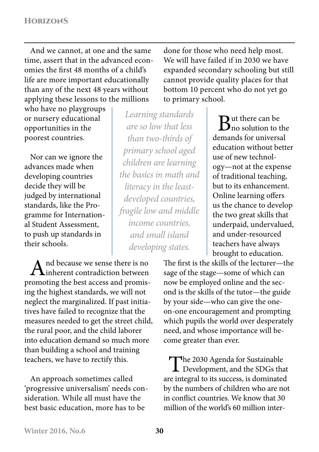And we cannot, at one and the same time, assert that in the advanced economies the first 48 months of a child's life are more important educationally than any of the next 48 years without applying these lessons to the millions

who have no playgroups or nursery educational opportunities in the poorest countries.

Nor can we ignore the advances made when developing countries decide they will be judged by international standards, like the Programme for International Student Assessment, to push up standards in their schools.

And because we sense there is no  $\Gamma$ inherent contradiction between promoting the best access and promising the highest standards, we will not neglect the marginalized. If past initiatives have failed to recognize that the measures needed to get the street child, the rural poor, and the child laborer into education demand so much more than building a school and training teachers, we have to rectify this.

An approach sometimes called 'progressive universalism' needs consideration. While all must have the best basic education, more has to be

done for those who need help most. We will have failed if in 2030 we have expanded secondary schooling but still cannot provide quality places for that bottom 10 percent who do not yet go to primary school.

*Learning standards are so low that less than two-thirds of primary school aged children are learning the basics in math and literacy in the leastdeveloped countries, fragile low and middle income countries, and small island developing states.*

 $\bigcap$  ut there can be  $\mathbf D$  no solution to the demands for universal education without better use of new technology—not at the expense of traditional teaching, but to its enhancement. Online learning offers us the chance to develop the two great skills that underpaid, undervalued, and under-resourced teachers have always brought to education.

The first is the skills of the lecturer—the sage of the stage—some of which can now be employed online and the second is the skills of the tutor—the guide by your side—who can give the oneon-one encouragement and prompting which pupils the world over desperately need, and whose importance will become greater than ever.

The 2030 Agenda for Sustainable **L** Development, and the SDGs that are integral to its success, is dominated by the numbers of children who are not in conflict countries. We know that 30 million of the world's 60 million inter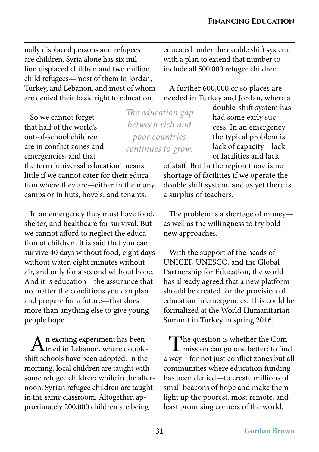nally displaced persons and refugees are children. Syria alone has six million displaced children and two million child refugees—most of them in Jordan, Turkey, and Lebanon, and most of whom are denied their basic right to education.

So we cannot forget that half of the world's out-of-school children are in conflict zones and emergencies, and that

the term 'universal education' means little if we cannot cater for their education where they are—either in the many camps or in huts, hovels, and tenants.

In an emergency they must have food, shelter, and healthcare for survival. But we cannot afford to neglect the education of children. It is said that you can survive 40 days without food, eight days without water, eight minutes without air, and only for a second without hope. And it is education—the assurance that no matter the conditions you can plan and prepare for a future—that does more than anything else to give young people hope.

 $A<sup>n</sup>$  exciting experiment has been<br>tried in Lebanon, where doubleshift schools have been adopted. In the morning, local children are taught with some refugee children; while in the afternoon, Syrian refugee children are taught in the same classroom. Altogether, approximately 200,000 children are being

educated under the double shift system, with a plan to extend that number to include all 500,000 refugee children.

A further 600,000 or so places are needed in Turkey and Jordan, where a

*The education gap between rich and poor countries continues to grow.*

double-shift system has had some early success. In an emergency, the typical problem is lack of capacity—lack of facilities and lack

of staff. But in the region there is no shortage of facilities if we operate the double shift system, and as yet there is a surplus of teachers.

The problem is a shortage of money as well as the willingness to try bold new approaches.

With the support of the heads of UNICEF, UNESCO, and the Global Partnership for Education, the world has already agreed that a new platform should be created for the provision of education in emergencies. This could be formalized at the World Humanitarian Summit in Turkey in spring 2016.

The question is whether the Com-**L** mission can go one better: to find a way—for not just conflict zones but all communities where education funding has been denied—to create millions of small beacons of hope and make them light up the poorest, most remote, and least promising corners of the world.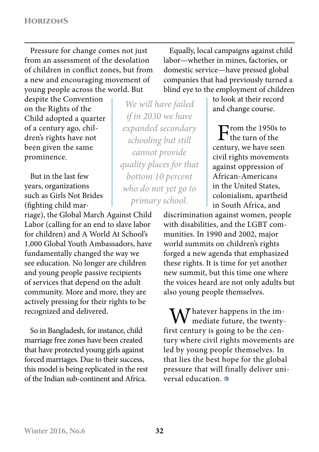Pressure for change comes not just from an assessment of the desolation of children in conflict zones, but from a new and encouraging movement of young people across the world. But

despite the Convention on the Rights of the Child adopted a quarter of a century ago, children's rights have not been given the same prominence.

But in the last few years, organizations such as Girls Not Brides (fighting child mar-

riage), the Global March Against Child Labor (calling for an end to slave labor for children) and A World At School's 1,000 Global Youth Ambassadors, have fundamentally changed the way we see education. No longer are children and young people passive recipients of services that depend on the adult community. More and more, they are actively pressing for their rights to be recognized and delivered.

So in Bangladesh, for instance, child marriage free zones have been created that have protected young girls against forced marriages. Due to their success, this model is being replicated in the rest of the Indian sub-continent and Africa.

*We will have failed if in 2030 we have expanded secondary schooling but still cannot provide quality places for that bottom 10 percent who do not yet go to primary school.*

Equally, local campaigns against child labor—whether in mines, factories, or domestic service—have pressed global companies that had previously turned a blind eye to the employment of children

> to look at their record and change course.

 $\Gamma$  the turn of the turn of the turn of the turn of the turn of the turn of the turn of the turn of the turn of the turn of the turn of the turn of the turn of the turn of the turn of the turn of the turn of the turn of century, we have seen civil rights movements against oppression of African-Americans in the United States, colonialism, apartheid in South Africa, and

discrimination against women, people with disabilities, and the LGBT communities. In 1990 and 2002, major world summits on children's rights forged a new agenda that emphasized these rights. It is time for yet another new summit, but this time one where the voices heard are not only adults but also young people themselves.

Whatever happens in the im-<br>mediate future, the twentyfirst century is going to be the century where civil rights movements are led by young people themselves. In that lies the best hope for the global pressure that will finally deliver universal education.